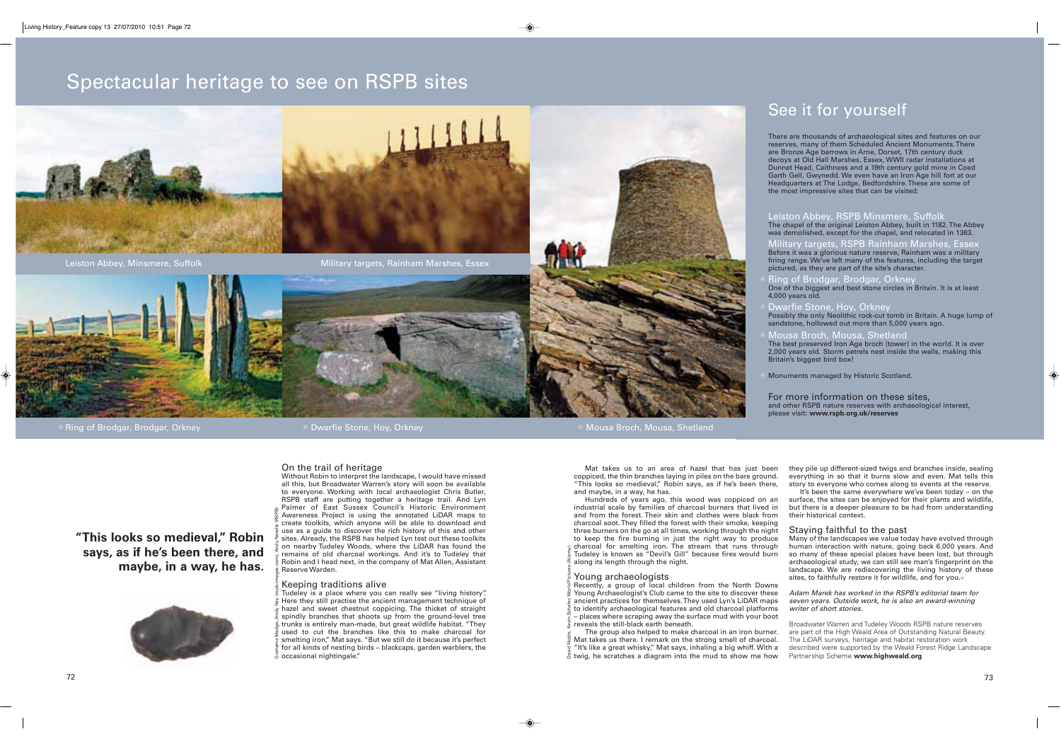## Spectacular heritage to see on RSPB sites



Leiston Abbey, Minsmere, Suffolk Military targets, Rainham Marshes, Essex



 $\,\,\ast\,$ Ring of Brodgar, Brodgar, Orkney  $\,\,\ast\,$ 

#### On the trail of heritage

Without Robin to interpret the landscape, I would have missed all this, but Broadwater Warren's story will soon be available to everyone. Working with local archaeologist Chris Butler, RSPB staff are putting together a heritage trail. And Lyn Palmer of East Sussex Council's Historic Environment Awareness Project is using the annotated LiDAR maps to create toolkits, which anyone will be able to download and use as a guide to discover the rich history of this and other sites. Already, the RSPB has helped Lyn test out these toolkits on nearby Tudeley Woods, where the LiDAR has found the remains of old charcoal workings. And it's to Tudeley that Robin and I head next, in the company of Mat Allen, Assistant Reserve Warden.

#### Keeping traditions alive

Tudeley is a place where you can really see "living history". Here they still practise the ancient management technique of hazel and sweet chestnut coppicing. The thicket of straight spindly branches that shoots up from the ground-level tree  $\stackrel{\scriptscriptstyle{\mathsf{\mathsf{\mathsf{E}}}}{\scriptscriptstyle{\mathsf{S}}}}$  trunks is entirely man-made, but great wildlife habitat. "They used to cut the branches like this to make charcoal for smelting iron," Mat says. "But we still do it because it's perfect for all kinds of nesting birds – blackcaps, garden warblers, the occasional nightingale." Grahame Madge, Andy Hay (rspb-images.com), Andy Needle (RSPB)

Mat takes us to an area of hazel that has just been coppiced, the thin branches laying in piles on the bare ground. "This looks so medieval," Robin says, as if he's been there, and maybe, in a way, he has.

Hundreds of years ago, this wood was coppiced on an industrial scale by families of charcoal burners that lived in and from the forest. Their skin and clothes were black from charcoal soot. They filled the forest with their smoke, keeping three burners on the go at all times, working through the night to keep the fire burning in just the right way to produce charcoal for smelting iron. The stream that runs through Tudeley is known as "Devil's Gill" because fires would burn along its length through the night.

#### Young archaeologists

Recently, a group of local children from the North Downs Young Archaeologist's Club came to the site to discover these ancient practices for themselves. They used Lyn's LiDAR maps to identify archaeological features and old charcoal platforms – places where scraping away the surface mud with your boot reveals the still-black earth beneath. David Noble, Kevin Schafer, World Pictures (Alamy)

 The group also helped to make charcoal in an iron burner. Mat takes us there. I remark on the strong smell of charcoal. "It's like a great whisky," Mat says, inhaling a big whiff. With a twig. he scratches a diagram into the mud to show me how

See it for yourself

There are thousands of archaeological sites and features on our reserves, many of them Scheduled Ancient Monuments. There are Bronze Age barrows in Arne, Dorset, 17th century duck decoys at Old Hall Marshes, Essex, WWII radar installations at Dunnet Head, Caithness and a 19th century gold mine in Coed Garth Gell, Gwynedd. We even have an Iron Age hill fort at our Headquarters at The Lodge, Bedfordshire. These are some of the most impressive sites that can be visited:

Leiston Abbey, RSPB Minsmere, Suffolk The chapel of the original Leiston Abbey, built in 1182. The Abbey was demolished, except for the chapel, and relocated in 1363.

y targets, RSPB Rainham Marshes, Ess Before it was a glorious nature reserve, Rainham was a military firing range. We've left many of the features, including the target pictured, as they are part of the site's character.

Ring of Brodgar, Brodgar, Orkney One of the biggest and best stone circles in Britain. It is at least 4,000 years old.

Dwarfie Stone, Hoy, Orkney Possibly the only Neolithic rock-cut tomb in Britain. A huge lump of sandstone, hollowed out more than 5,000 years ago.

Mousa Broch, Mousa, Shetland The best preserved Iron Age broch (tower) in the world. It is over 2,000 years old. Storm petrels nest inside the walls, making this Britain's biggest bird box!

Monuments managed by Historic Scotland.

For more information on these sites, and other RSPB nature reserves with archaeological interest, please visit: **www.rspb.org.uk/reserves**

they pile up different-sized twigs and branches inside, sealing everything in so that it burns slow and even. Mat tells this story to everyone who comes along to events at the reserve. It's been the same everywhere we've been today – on the

surface, the sites can be enjoyed for their plants and wildlife, but there is a deeper pleasure to be had from understanding their historical context.

#### Staying faithful to the past

Many of the landscapes we value today have evolved through human interaction with nature, going back 6,000 years. And so many of these special places have been lost, but through archaeological study, we can still see man's fingerprint on the landscape. We are rediscovering the living history of these sites, to faithfully restore it for wildlife, and for you.v

Adam Marek has worked in the RSPB's editorial team for seven years. Outside work, he is also an award-winning writer of short stories.

Broadwater Warren and Tudeley Woods RSPB nature reserves are part of the High Weald Area of Outstanding Natural Beauty. The LiDAR surveys, heritage and habitat restoration work described were supported by the Weald Forest Ridge Landscape Partnership Scheme **www.highweald.org** 

73

 $\phi$ 

**"This looks so medieval," Robin says, as if he's been there, and maybe, in a way, he has.**



## Mousa Broch, Mousa, Shetland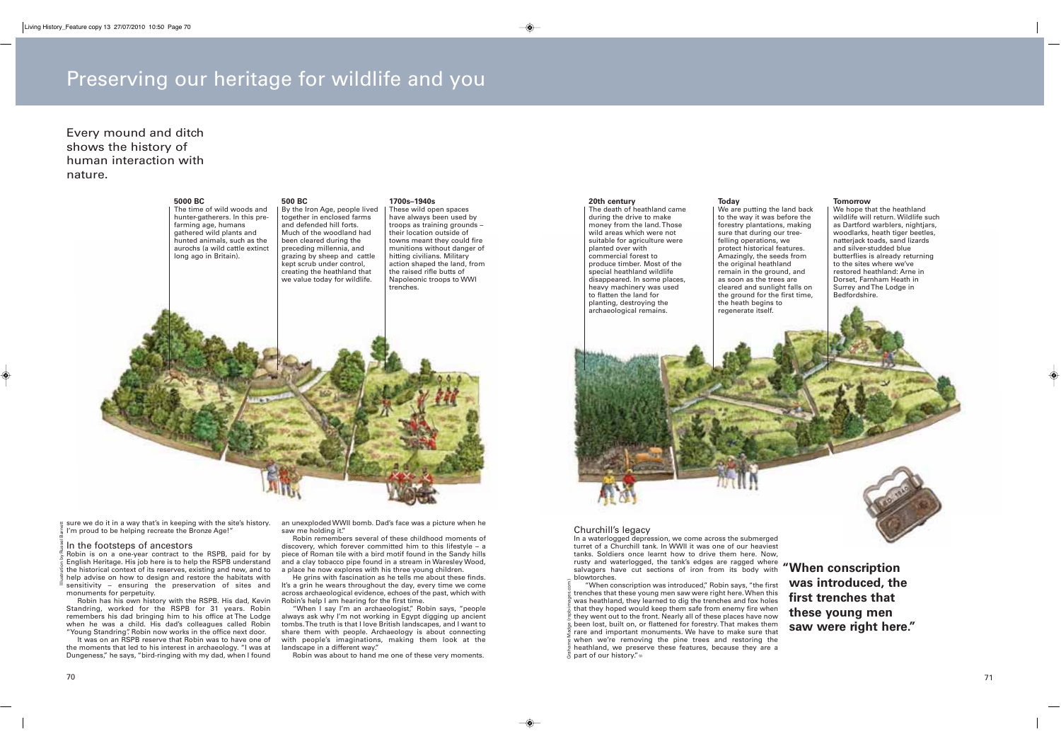## Preserving our heritage for wildlife and you

### Every mound and ditch shows the history of human interaction with nature.



sure we do it in a way that's in keeping with the site's history. I'm proud to be helping recreate the Bronze Age!"

#### In the footsteps of ancestors

Robin is on a one-year contract to the RSPB, paid for by English Heritage. His job here is to help the RSPB understand the historical context of its reserves, existing and new, and to help advise on how to design and restore the habitats with sensitivity – ensuring the preservation of sites and monuments for perpetuity. Illustration by Russel Barnett

Robin has his own history with the RSPB. His dad, Kevin Standring, worked for the RSPB for 31 years. Robin remembers his dad bringing him to his office at The Lodge when he was a child. His dad's colleagues called Robin "Young Standring". Robin now works in the office next door.

It was on an RSPB reserve that Robin was to have one of the moments that led to his interest in archaeology. "I was at Dungeness," he says, "bird-ringing with my dad, when I found

an unexploded WWII bomb. Dad's face was a picture when he saw me holding it."

Robin remembers several of these childhood moments of discovery, which forever committed him to this lifestyle – a piece of Roman tile with a bird motif found in the Sandy hills and a clay tobacco pipe found in a stream in Waresley Wood, a place he now explores with his three young children.

He grins with fascination as he tells me about these finds. It's a grin he wears throughout the day, every time we come across archaeological evidence, echoes of the past, which with Robin's help I am hearing for the first time.

"When I say I'm an archaeologist," Robin says, "people always ask why I'm not working in Egypt digging up ancient tombs. The truth is that I love British landscapes, and I want to share them with people. Archaeology is about connecting with people's imaginations, making them look at the landscape in a different way."

Robin was about to hand me one of these very moments.

#### The death of heathland cameduring the drive to make money from the land. Those wild areas which were not suitable for agriculture were planted over with commercial forest to

**20th century**

 produce timber. Most of the special heathland wildlife disappeared. In some places, heavy machinery was used to flatten the land for planting, destroying the archaeological remains. felling operations, we protect historical features. Amazingly, the seeds from the original heathland remain in the ground, and as soon as the trees are cleared and sunlight falls on the ground for the first time, the heath begins to regenerate itself.

**Today**

#### **Tomorrow**

We are putting the land back to the way it was before the forestry plantations, making sure that during our tree-Bedfordshire.

 We hope that the heathland wildlife will return. Wildlife such as Dartford warblers, nightjars, woodlarks, heath tiger beetles, natterjack toads, sand lizards and silver-studded blue butterflies is already returning to the sites where we've restored heathland: Arne in Dorset, Farnham Heath in Surrey and The Lodge in



#### Churchill's legacy

Grahame Madge (rspb-images.com)

In a waterlogged depression, we come across the submerged turret of a Churchill tank. In WWII it was one of our heaviest tanks. Soldiers once learnt how to drive them here. Now,<br>rusty and waterlogged, the tank's edges are ragged where **"When conscription**<br>salvagers have cut sections of iron from its body with **"When conscription** blowtorches.

 "When conscription was introduced," Robin says, "the first trenches that these young men saw were right here. When this was heathland, they learned to dig the trenches and fox holes that they hoped would keep them safe from enemy fire when they went out to the front. Nearly all of these places have now been lost, built on, or flattened for forestry. That makes them rare and important monuments. We have to make sure that when we're removing the pine trees and restoring the heathland, we preserve these features, because they are a part of our history." o

**was introduced, the first trenches that these young men saw were right here."**

71

◈